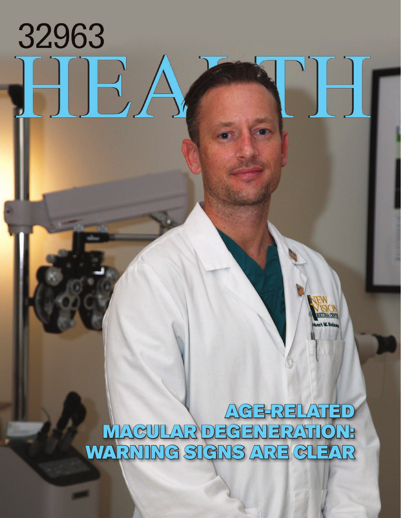## 32963 BA J

AGE-RELATED MACULAR DEGENERATION: WARNING SIGNS ARE GLEAR

E